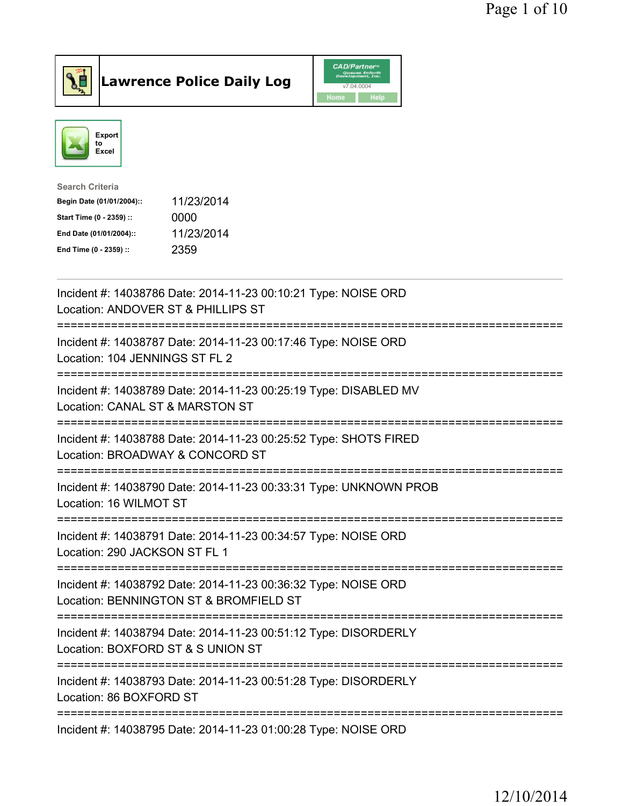



| <b>Search Criteria</b>    |            |
|---------------------------|------------|
| Begin Date (01/01/2004):: | 11/23/2014 |
| Start Time (0 - 2359) ::  | 0000       |
| End Date (01/01/2004)::   | 11/23/2014 |
| End Time (0 - 2359) ::    | 2359       |
|                           |            |

| Incident #: 14038786 Date: 2014-11-23 00:10:21 Type: NOISE ORD<br>Location: ANDOVER ST & PHILLIPS ST                                                                   |
|------------------------------------------------------------------------------------------------------------------------------------------------------------------------|
| Incident #: 14038787 Date: 2014-11-23 00:17:46 Type: NOISE ORD<br>Location: 104 JENNINGS ST FL 2<br>:============                                                      |
| Incident #: 14038789 Date: 2014-11-23 00:25:19 Type: DISABLED MV<br>Location: CANAL ST & MARSTON ST<br>.----------------------                                         |
| Incident #: 14038788 Date: 2014-11-23 00:25:52 Type: SHOTS FIRED<br>Location: BROADWAY & CONCORD ST                                                                    |
| Incident #: 14038790 Date: 2014-11-23 00:33:31 Type: UNKNOWN PROB<br>Location: 16 WILMOT ST                                                                            |
| Incident #: 14038791 Date: 2014-11-23 00:34:57 Type: NOISE ORD<br>Location: 290 JACKSON ST FL 1                                                                        |
| Incident #: 14038792 Date: 2014-11-23 00:36:32 Type: NOISE ORD<br>Location: BENNINGTON ST & BROMFIELD ST<br>;===============================<br>---------------------- |
| Incident #: 14038794 Date: 2014-11-23 00:51:12 Type: DISORDERLY<br>Location: BOXFORD ST & S UNION ST                                                                   |
| Incident #: 14038793 Date: 2014-11-23 00:51:28 Type: DISORDERLY<br>Location: 86 BOXFORD ST                                                                             |
| Incident #: 14038795 Date: 2014-11-23 01:00:28 Type: NOISE ORD                                                                                                         |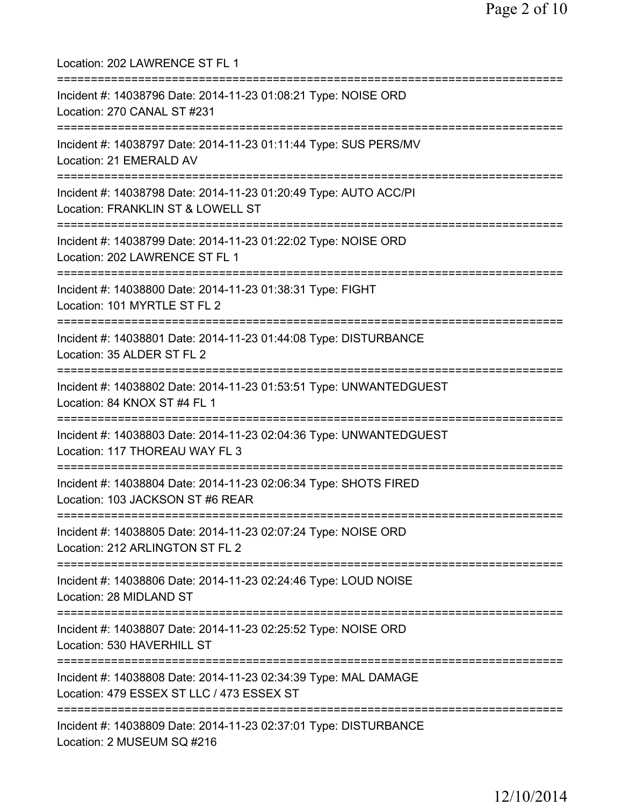Location: 202 LAWRENCE ST FL 1 =========================================================================== Incident #: 14038796 Date: 2014-11-23 01:08:21 Type: NOISE ORD Location: 270 CANAL ST #231 =========================================================================== Incident #: 14038797 Date: 2014-11-23 01:11:44 Type: SUS PERS/MV Location: 21 EMERALD AV =========================================================================== Incident #: 14038798 Date: 2014-11-23 01:20:49 Type: AUTO ACC/PI Location: FRANKLIN ST & LOWELL ST =========================================================================== Incident #: 14038799 Date: 2014-11-23 01:22:02 Type: NOISE ORD Location: 202 LAWRENCE ST FL 1 =========================================================================== Incident #: 14038800 Date: 2014-11-23 01:38:31 Type: FIGHT Location: 101 MYRTLE ST FL 2 =========================================================================== Incident #: 14038801 Date: 2014-11-23 01:44:08 Type: DISTURBANCE Location: 35 ALDER ST FL 2 =========================================================================== Incident #: 14038802 Date: 2014-11-23 01:53:51 Type: UNWANTEDGUEST Location: 84 KNOX ST #4 FL 1 =========================================================================== Incident #: 14038803 Date: 2014-11-23 02:04:36 Type: UNWANTEDGUEST Location: 117 THOREAU WAY FL 3 =========================================================================== Incident #: 14038804 Date: 2014-11-23 02:06:34 Type: SHOTS FIRED Location: 103 JACKSON ST #6 REAR =========================================================================== Incident #: 14038805 Date: 2014-11-23 02:07:24 Type: NOISE ORD Location: 212 ARLINGTON ST FL 2 =========================================================================== Incident #: 14038806 Date: 2014-11-23 02:24:46 Type: LOUD NOISE Location: 28 MIDLAND ST =========================================================================== Incident #: 14038807 Date: 2014-11-23 02:25:52 Type: NOISE ORD Location: 530 HAVERHILL ST =========================================================================== Incident #: 14038808 Date: 2014-11-23 02:34:39 Type: MAL DAMAGE Location: 479 ESSEX ST LLC / 473 ESSEX ST =========================================================================== Incident #: 14038809 Date: 2014-11-23 02:37:01 Type: DISTURBANCE Location: 2 MUSEUM SQ #216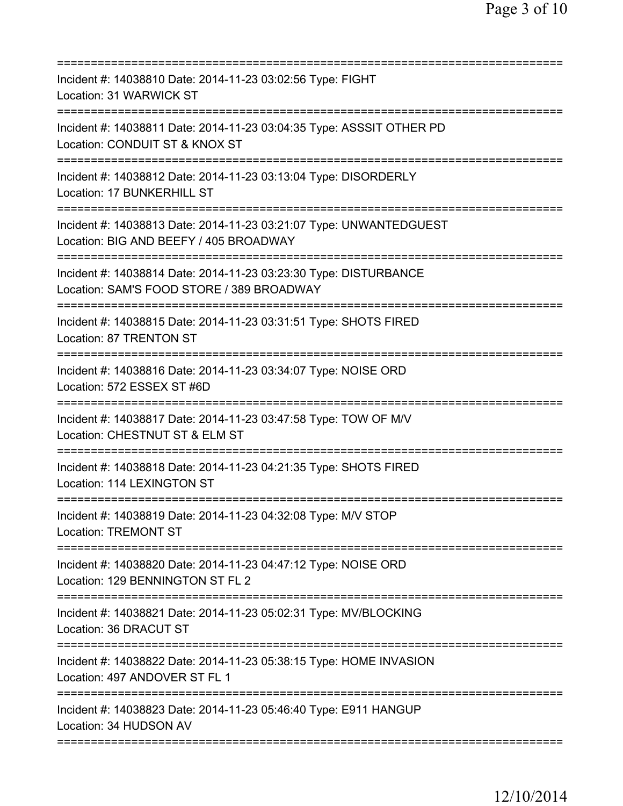| Incident #: 14038810 Date: 2014-11-23 03:02:56 Type: FIGHT<br>Location: 31 WARWICK ST                                                                  |
|--------------------------------------------------------------------------------------------------------------------------------------------------------|
| Incident #: 14038811 Date: 2014-11-23 03:04:35 Type: ASSSIT OTHER PD<br>Location: CONDUIT ST & KNOX ST                                                 |
| Incident #: 14038812 Date: 2014-11-23 03:13:04 Type: DISORDERLY<br>Location: 17 BUNKERHILL ST<br>=====================                                 |
| Incident #: 14038813 Date: 2014-11-23 03:21:07 Type: UNWANTEDGUEST<br>Location: BIG AND BEEFY / 405 BROADWAY                                           |
| Incident #: 14038814 Date: 2014-11-23 03:23:30 Type: DISTURBANCE<br>Location: SAM'S FOOD STORE / 389 BROADWAY<br>===================================== |
| Incident #: 14038815 Date: 2014-11-23 03:31:51 Type: SHOTS FIRED<br>Location: 87 TRENTON ST                                                            |
| Incident #: 14038816 Date: 2014-11-23 03:34:07 Type: NOISE ORD<br>Location: 572 ESSEX ST #6D<br>================================                       |
| Incident #: 14038817 Date: 2014-11-23 03:47:58 Type: TOW OF M/V<br>Location: CHESTNUT ST & ELM ST                                                      |
| Incident #: 14038818 Date: 2014-11-23 04:21:35 Type: SHOTS FIRED<br>Location: 114 LEXINGTON ST                                                         |
| Incident #: 14038819 Date: 2014-11-23 04:32:08 Type: M/V STOP<br><b>Location: TREMONT ST</b>                                                           |
| Incident #: 14038820 Date: 2014-11-23 04:47:12 Type: NOISE ORD<br>Location: 129 BENNINGTON ST FL 2                                                     |
| Incident #: 14038821 Date: 2014-11-23 05:02:31 Type: MV/BLOCKING<br>Location: 36 DRACUT ST                                                             |
| Incident #: 14038822 Date: 2014-11-23 05:38:15 Type: HOME INVASION<br>Location: 497 ANDOVER ST FL 1                                                    |
| Incident #: 14038823 Date: 2014-11-23 05:46:40 Type: E911 HANGUP<br>Location: 34 HUDSON AV                                                             |
|                                                                                                                                                        |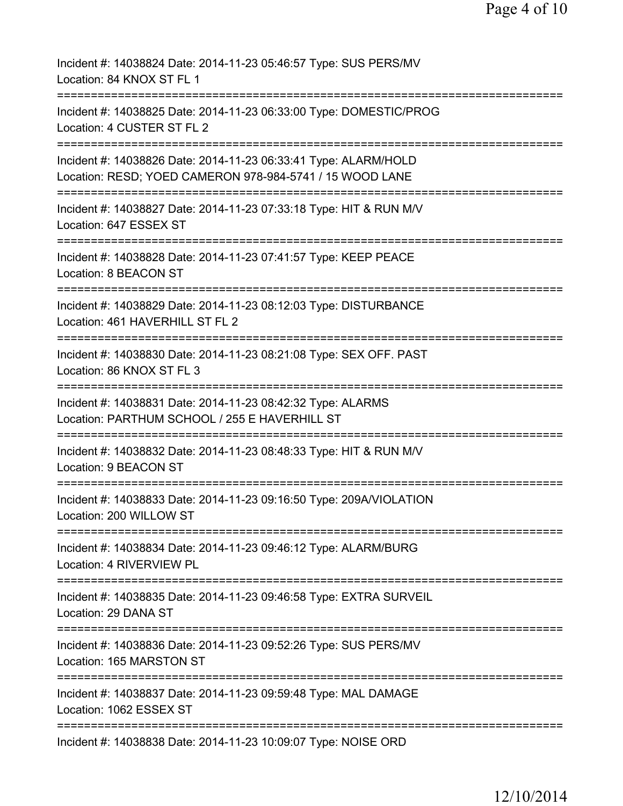| Incident #: 14038824 Date: 2014-11-23 05:46:57 Type: SUS PERS/MV<br>Location: 84 KNOX ST FL 1                                     |
|-----------------------------------------------------------------------------------------------------------------------------------|
| Incident #: 14038825 Date: 2014-11-23 06:33:00 Type: DOMESTIC/PROG<br>Location: 4 CUSTER ST FL 2                                  |
| Incident #: 14038826 Date: 2014-11-23 06:33:41 Type: ALARM/HOLD<br>Location: RESD; YOED CAMERON 978-984-5741 / 15 WOOD LANE       |
| =================================<br>Incident #: 14038827 Date: 2014-11-23 07:33:18 Type: HIT & RUN M/V<br>Location: 647 ESSEX ST |
| Incident #: 14038828 Date: 2014-11-23 07:41:57 Type: KEEP PEACE<br>Location: 8 BEACON ST                                          |
| Incident #: 14038829 Date: 2014-11-23 08:12:03 Type: DISTURBANCE<br>Location: 461 HAVERHILL ST FL 2                               |
| Incident #: 14038830 Date: 2014-11-23 08:21:08 Type: SEX OFF. PAST<br>Location: 86 KNOX ST FL 3                                   |
| Incident #: 14038831 Date: 2014-11-23 08:42:32 Type: ALARMS<br>Location: PARTHUM SCHOOL / 255 E HAVERHILL ST                      |
| Incident #: 14038832 Date: 2014-11-23 08:48:33 Type: HIT & RUN M/V<br>Location: 9 BEACON ST                                       |
| Incident #: 14038833 Date: 2014-11-23 09:16:50 Type: 209A/VIOLATION<br>Location: 200 WILLOW ST                                    |
| Incident #: 14038834 Date: 2014-11-23 09:46:12 Type: ALARM/BURG<br>Location: 4 RIVERVIEW PL                                       |
| Incident #: 14038835 Date: 2014-11-23 09:46:58 Type: EXTRA SURVEIL<br>Location: 29 DANA ST                                        |
| Incident #: 14038836 Date: 2014-11-23 09:52:26 Type: SUS PERS/MV<br>Location: 165 MARSTON ST                                      |
| =================================<br>Incident #: 14038837 Date: 2014-11-23 09:59:48 Type: MAL DAMAGE<br>Location: 1062 ESSEX ST   |
| Incident #: 14038838 Date: 2014-11-23 10:09:07 Type: NOISE ORD                                                                    |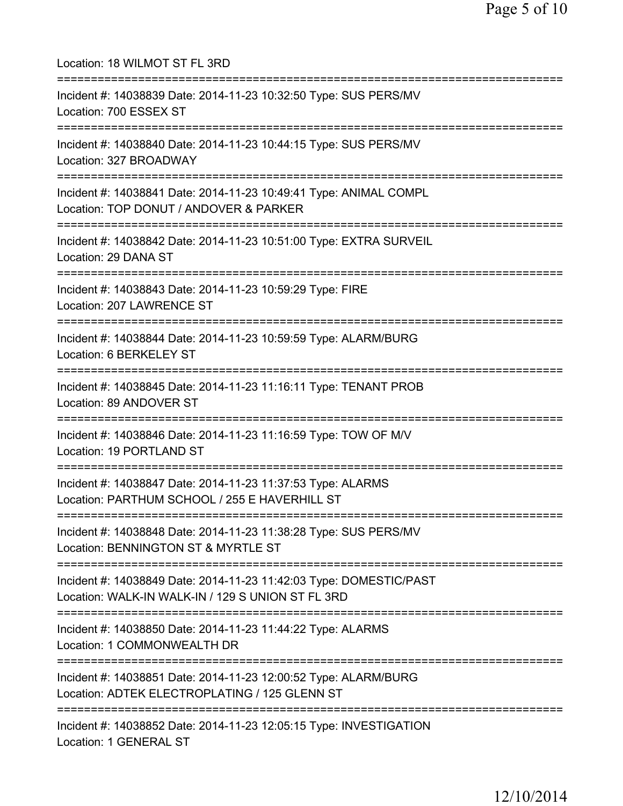Location: 18 WILMOT ST FL 3RD =========================================================================== Incident #: 14038839 Date: 2014-11-23 10:32:50 Type: SUS PERS/MV Location: 700 ESSEX ST =========================================================================== Incident #: 14038840 Date: 2014-11-23 10:44:15 Type: SUS PERS/MV Location: 327 BROADWAY =========================================================================== Incident #: 14038841 Date: 2014-11-23 10:49:41 Type: ANIMAL COMPL Location: TOP DONUT / ANDOVER & PARKER =========================================================================== Incident #: 14038842 Date: 2014-11-23 10:51:00 Type: EXTRA SURVEIL Location: 29 DANA ST =========================================================================== Incident #: 14038843 Date: 2014-11-23 10:59:29 Type: FIRE Location: 207 LAWRENCE ST =========================================================================== Incident #: 14038844 Date: 2014-11-23 10:59:59 Type: ALARM/BURG Location: 6 BERKELEY ST =========================================================================== Incident #: 14038845 Date: 2014-11-23 11:16:11 Type: TENANT PROB Location: 89 ANDOVER ST =========================================================================== Incident #: 14038846 Date: 2014-11-23 11:16:59 Type: TOW OF M/V Location: 19 PORTLAND ST =========================================================================== Incident #: 14038847 Date: 2014-11-23 11:37:53 Type: ALARMS Location: PARTHUM SCHOOL / 255 E HAVERHILL ST =========================================================================== Incident #: 14038848 Date: 2014-11-23 11:38:28 Type: SUS PERS/MV Location: BENNINGTON ST & MYRTLE ST =========================================================================== Incident #: 14038849 Date: 2014-11-23 11:42:03 Type: DOMESTIC/PAST Location: WALK-IN WALK-IN / 129 S UNION ST FL 3RD =========================================================================== Incident #: 14038850 Date: 2014-11-23 11:44:22 Type: ALARMS Location: 1 COMMONWEALTH DR =========================================================================== Incident #: 14038851 Date: 2014-11-23 12:00:52 Type: ALARM/BURG Location: ADTEK ELECTROPLATING / 125 GLENN ST =========================================================================== Incident #: 14038852 Date: 2014-11-23 12:05:15 Type: INVESTIGATION Location: 1 GENERAL ST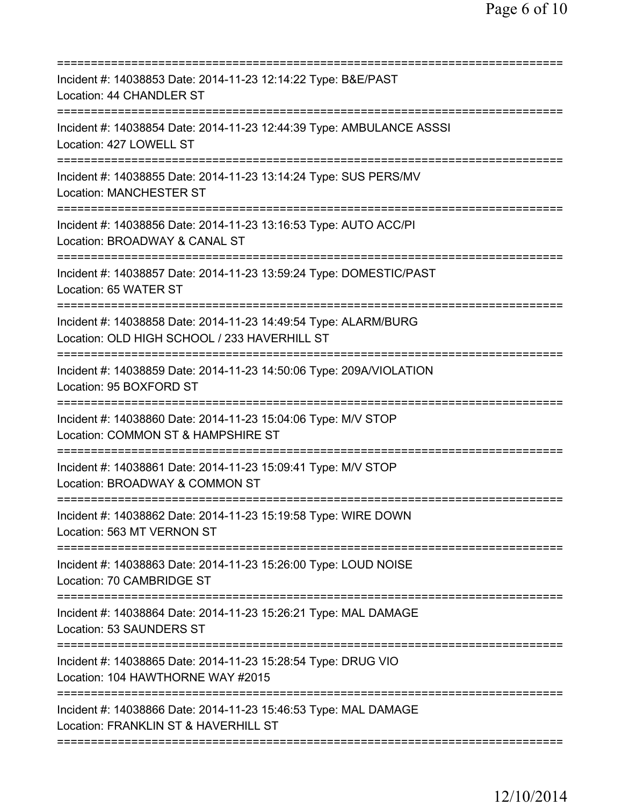| Incident #: 14038853 Date: 2014-11-23 12:14:22 Type: B&E/PAST<br>Location: 44 CHANDLER ST                                                  |
|--------------------------------------------------------------------------------------------------------------------------------------------|
| Incident #: 14038854 Date: 2014-11-23 12:44:39 Type: AMBULANCE ASSSI<br>Location: 427 LOWELL ST                                            |
| Incident #: 14038855 Date: 2014-11-23 13:14:24 Type: SUS PERS/MV<br><b>Location: MANCHESTER ST</b>                                         |
| Incident #: 14038856 Date: 2014-11-23 13:16:53 Type: AUTO ACC/PI<br>Location: BROADWAY & CANAL ST<br>==========================            |
| Incident #: 14038857 Date: 2014-11-23 13:59:24 Type: DOMESTIC/PAST<br>Location: 65 WATER ST                                                |
| Incident #: 14038858 Date: 2014-11-23 14:49:54 Type: ALARM/BURG<br>Location: OLD HIGH SCHOOL / 233 HAVERHILL ST                            |
| Incident #: 14038859 Date: 2014-11-23 14:50:06 Type: 209A/VIOLATION<br>Location: 95 BOXFORD ST                                             |
| Incident #: 14038860 Date: 2014-11-23 15:04:06 Type: M/V STOP<br>Location: COMMON ST & HAMPSHIRE ST                                        |
| Incident #: 14038861 Date: 2014-11-23 15:09:41 Type: M/V STOP<br>Location: BROADWAY & COMMON ST                                            |
| Incident #: 14038862 Date: 2014-11-23 15:19:58 Type: WIRE DOWN<br>Location: 563 MT VERNON ST                                               |
| Incident #: 14038863 Date: 2014-11-23 15:26:00 Type: LOUD NOISE<br>Location: 70 CAMBRIDGE ST                                               |
| Incident #: 14038864 Date: 2014-11-23 15:26:21 Type: MAL DAMAGE<br>Location: 53 SAUNDERS ST                                                |
| Incident #: 14038865 Date: 2014-11-23 15:28:54 Type: DRUG VIO<br>Location: 104 HAWTHORNE WAY #2015                                         |
| ===============================<br>Incident #: 14038866 Date: 2014-11-23 15:46:53 Type: MAL DAMAGE<br>Location: FRANKLIN ST & HAVERHILL ST |
|                                                                                                                                            |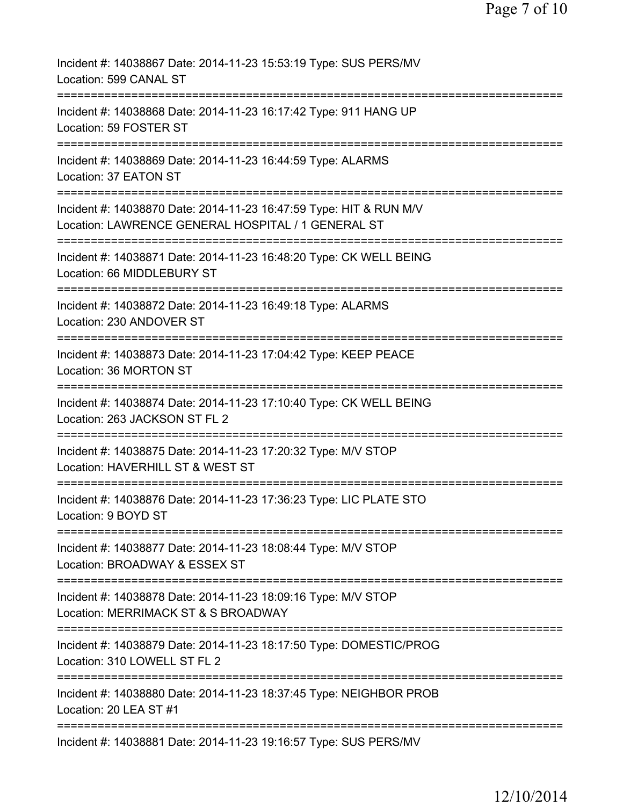| Incident #: 14038867 Date: 2014-11-23 15:53:19 Type: SUS PERS/MV<br>Location: 599 CANAL ST                                        |
|-----------------------------------------------------------------------------------------------------------------------------------|
| Incident #: 14038868 Date: 2014-11-23 16:17:42 Type: 911 HANG UP<br>Location: 59 FOSTER ST                                        |
| Incident #: 14038869 Date: 2014-11-23 16:44:59 Type: ALARMS<br>Location: 37 EATON ST                                              |
| Incident #: 14038870 Date: 2014-11-23 16:47:59 Type: HIT & RUN M/V<br>Location: LAWRENCE GENERAL HOSPITAL / 1 GENERAL ST          |
| Incident #: 14038871 Date: 2014-11-23 16:48:20 Type: CK WELL BEING<br>Location: 66 MIDDLEBURY ST                                  |
| Incident #: 14038872 Date: 2014-11-23 16:49:18 Type: ALARMS<br>Location: 230 ANDOVER ST                                           |
| Incident #: 14038873 Date: 2014-11-23 17:04:42 Type: KEEP PEACE<br>Location: 36 MORTON ST                                         |
| Incident #: 14038874 Date: 2014-11-23 17:10:40 Type: CK WELL BEING<br>Location: 263 JACKSON ST FL 2                               |
| ===========<br>Incident #: 14038875 Date: 2014-11-23 17:20:32 Type: M/V STOP<br>Location: HAVERHILL ST & WEST ST                  |
| Incident #: 14038876 Date: 2014-11-23 17:36:23 Type: LIC PLATE STO<br>Location: 9 BOYD ST                                         |
| Incident #: 14038877 Date: 2014-11-23 18:08:44 Type: M/V STOP<br>Location: BROADWAY & ESSEX ST                                    |
| Incident #: 14038878 Date: 2014-11-23 18:09:16 Type: M/V STOP<br>Location: MERRIMACK ST & S BROADWAY                              |
| ===========================<br>Incident #: 14038879 Date: 2014-11-23 18:17:50 Type: DOMESTIC/PROG<br>Location: 310 LOWELL ST FL 2 |
| Incident #: 14038880 Date: 2014-11-23 18:37:45 Type: NEIGHBOR PROB<br>Location: 20 LEA ST #1                                      |
| Incident #: 14038881 Date: 2014-11-23 19:16:57 Type: SUS PERS/MV                                                                  |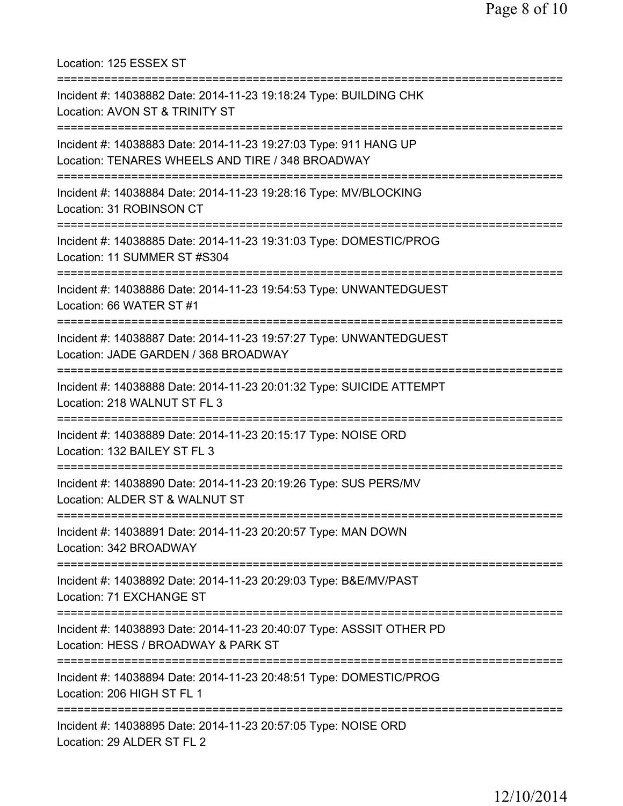Location: 125 ESSEX ST =========================================================================== Incident #: 14038882 Date: 2014-11-23 19:18:24 Type: BUILDING CHK Location: AVON ST & TRINITY ST =========================================================================== Incident #: 14038883 Date: 2014-11-23 19:27:03 Type: 911 HANG UP Location: TENARES WHEELS AND TIRE / 348 BROADWAY =========================================================================== Incident #: 14038884 Date: 2014-11-23 19:28:16 Type: MV/BLOCKING Location: 31 ROBINSON CT =========================================================================== Incident #: 14038885 Date: 2014-11-23 19:31:03 Type: DOMESTIC/PROG Location: 11 SUMMER ST #S304 =========================================================================== Incident #: 14038886 Date: 2014-11-23 19:54:53 Type: UNWANTEDGUEST Location: 66 WATER ST #1 =========================================================================== Incident #: 14038887 Date: 2014-11-23 19:57:27 Type: UNWANTEDGUEST Location: JADE GARDEN / 368 BROADWAY =========================================================================== Incident #: 14038888 Date: 2014-11-23 20:01:32 Type: SUICIDE ATTEMPT Location: 218 WALNUT ST FL 3 =========================================================================== Incident #: 14038889 Date: 2014-11-23 20:15:17 Type: NOISE ORD Location: 132 BAILEY ST FL 3 =========================================================================== Incident #: 14038890 Date: 2014-11-23 20:19:26 Type: SUS PERS/MV Location: ALDER ST & WALNUT ST =========================================================================== Incident #: 14038891 Date: 2014-11-23 20:20:57 Type: MAN DOWN Location: 342 BROADWAY =========================================================================== Incident #: 14038892 Date: 2014-11-23 20:29:03 Type: B&E/MV/PAST Location: 71 EXCHANGE ST =========================================================================== Incident #: 14038893 Date: 2014-11-23 20:40:07 Type: ASSSIT OTHER PD Location: HESS / BROADWAY & PARK ST =========================================================================== Incident #: 14038894 Date: 2014-11-23 20:48:51 Type: DOMESTIC/PROG Location: 206 HIGH ST FL 1 =========================================================================== Incident #: 14038895 Date: 2014-11-23 20:57:05 Type: NOISE ORD Location: 29 ALDER ST FL 2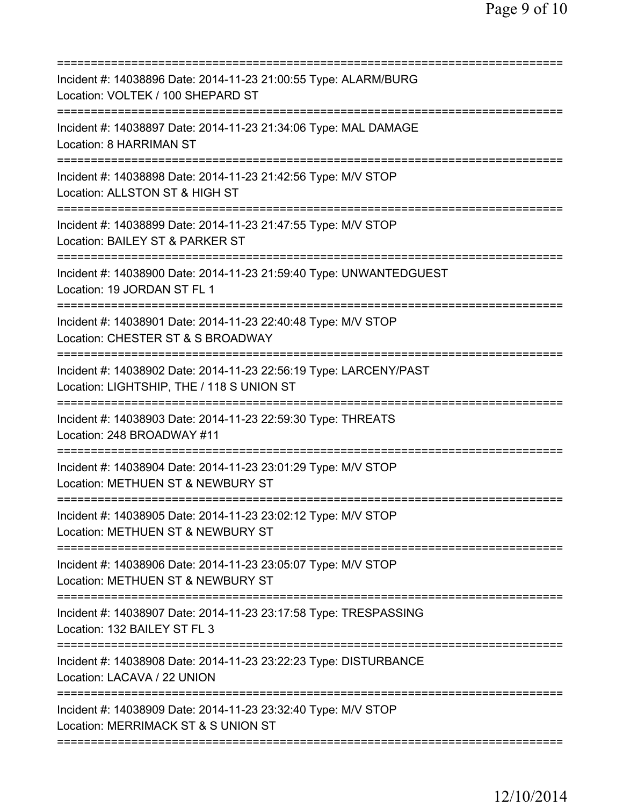| Incident #: 14038896 Date: 2014-11-23 21:00:55 Type: ALARM/BURG<br>Location: VOLTEK / 100 SHEPARD ST                                  |
|---------------------------------------------------------------------------------------------------------------------------------------|
| Incident #: 14038897 Date: 2014-11-23 21:34:06 Type: MAL DAMAGE<br>Location: 8 HARRIMAN ST                                            |
| Incident #: 14038898 Date: 2014-11-23 21:42:56 Type: M/V STOP<br>Location: ALLSTON ST & HIGH ST                                       |
| Incident #: 14038899 Date: 2014-11-23 21:47:55 Type: M/V STOP<br>Location: BAILEY ST & PARKER ST<br>:=======================          |
| Incident #: 14038900 Date: 2014-11-23 21:59:40 Type: UNWANTEDGUEST<br>Location: 19 JORDAN ST FL 1                                     |
| Incident #: 14038901 Date: 2014-11-23 22:40:48 Type: M/V STOP<br>Location: CHESTER ST & S BROADWAY                                    |
| Incident #: 14038902 Date: 2014-11-23 22:56:19 Type: LARCENY/PAST<br>Location: LIGHTSHIP, THE / 118 S UNION ST                        |
| Incident #: 14038903 Date: 2014-11-23 22:59:30 Type: THREATS<br>Location: 248 BROADWAY #11                                            |
| Incident #: 14038904 Date: 2014-11-23 23:01:29 Type: M/V STOP<br>Location: METHUEN ST & NEWBURY ST                                    |
| Incident #: 14038905 Date: 2014-11-23 23:02:12 Type: M/V STOP<br>Location: METHUEN ST & NEWBURY ST                                    |
| ===============================<br>Incident #: 14038906 Date: 2014-11-23 23:05:07 Type: M/V STOP<br>Location: METHUEN ST & NEWBURY ST |
| Incident #: 14038907 Date: 2014-11-23 23:17:58 Type: TRESPASSING<br>Location: 132 BAILEY ST FL 3                                      |
| Incident #: 14038908 Date: 2014-11-23 23:22:23 Type: DISTURBANCE<br>Location: LACAVA / 22 UNION                                       |
| Incident #: 14038909 Date: 2014-11-23 23:32:40 Type: M/V STOP<br>Location: MERRIMACK ST & S UNION ST                                  |
|                                                                                                                                       |